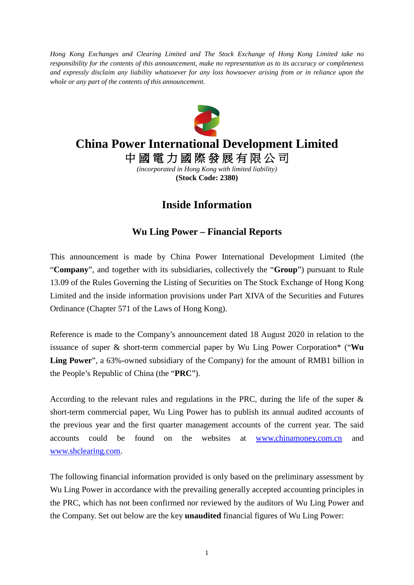*Hong Kong Exchanges and Clearing Limited and The Stock Exchange of Hong Kong Limited take no responsibility for the contents of this announcement, make no representation as to its accuracy or completeness and expressly disclaim any liability whatsoever for any loss howsoever arising from or in reliance upon the whole or any part of the contents of this announcement.*



## **China Power International Development Limited**

中 國 電 力 國 際 發 展 有 限 公 司 *(incorporated in Hong Kong with limited liability)*

**(Stock Code: 2380)**

## **Inside Information**

## **Wu Ling Power – Financial Reports**

This announcement is made by China Power International Development Limited (the "**Company**", and together with its subsidiaries, collectively the "**Group**") pursuant to Rule 13.09 of the Rules Governing the Listing of Securities on The Stock Exchange of Hong Kong Limited and the inside information provisions under Part XIVA of the Securities and Futures Ordinance (Chapter 571 of the Laws of Hong Kong).

Reference is made to the Company's announcement dated 18 August 2020 in relation to the issuance of super & short-term commercial paper by Wu Ling Power Corporation\* ("**Wu Ling Power**", a 63%-owned subsidiary of the Company) for the amount of RMB1 billion in the People's Republic of China (the "**PRC**").

According to the relevant rules and regulations in the PRC, during the life of the super & short-term commercial paper, Wu Ling Power has to publish its annual audited accounts of the previous year and the first quarter management accounts of the current year. The said accounts could be found on the websites at [www.chinamoney.com.cn](http://www.chinamoney.com.cn/) and [www.shclearing.com.](http://www.shclearing.com/)

The following financial information provided is only based on the preliminary assessment by Wu Ling Power in accordance with the prevailing generally accepted accounting principles in the PRC, which has not been confirmed nor reviewed by the auditors of Wu Ling Power and the Company. Set out below are the key **unaudited** financial figures of Wu Ling Power: